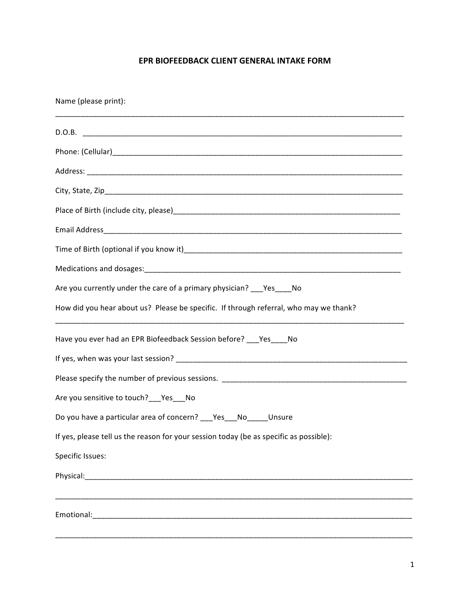## **EPR BIOFEEDBACK CLIENT GENERAL INTAKE FORM**

Name (please print): \_\_\_\_\_\_\_\_\_\_\_\_\_\_\_\_\_\_\_\_\_\_\_\_\_\_\_\_\_\_\_\_\_\_\_\_\_\_\_\_\_\_\_\_\_\_\_\_\_\_\_\_\_\_\_\_\_\_\_\_\_\_\_\_\_\_\_\_\_\_\_\_\_\_\_\_\_\_\_\_\_\_\_ D.O.B. \_\_\_\_\_\_\_\_\_\_\_\_\_\_\_\_\_\_\_\_\_\_\_\_\_\_\_\_\_\_\_\_\_\_\_\_\_\_\_\_\_\_\_\_\_\_\_\_\_\_\_\_\_\_\_\_\_\_\_\_\_\_\_\_\_\_\_\_\_\_\_\_\_\_\_\_ Phone: (Cellular)\_\_\_\_\_\_\_\_\_\_\_\_\_\_\_\_\_\_\_\_\_\_\_\_\_\_\_\_\_\_\_\_\_\_\_\_\_\_\_\_\_\_\_\_\_\_\_\_\_\_\_\_\_\_\_\_\_\_\_\_\_\_\_\_\_\_\_\_\_ Address: \_\_\_\_\_\_\_\_\_\_\_\_\_\_\_\_\_\_\_\_\_\_\_\_\_\_\_\_\_\_\_\_\_\_\_\_\_\_\_\_\_\_\_\_\_\_\_\_\_\_\_\_\_\_\_\_\_\_\_\_\_\_\_\_\_\_\_\_\_\_\_\_\_\_\_ City, State, Zip Place of Birth (include city, please)\_\_\_\_\_\_\_\_\_\_\_\_\_\_\_\_\_\_\_\_\_\_\_\_\_\_\_\_\_\_\_\_\_\_\_\_\_\_\_\_\_\_\_\_\_\_\_\_\_\_\_\_\_\_ Email Address\_\_\_\_\_\_\_\_\_\_\_\_\_\_\_\_\_\_\_\_\_\_\_\_\_\_\_\_\_\_\_\_\_\_\_\_\_\_\_\_\_\_\_\_\_\_\_\_\_\_\_\_\_\_\_\_\_\_\_\_\_\_\_\_\_\_\_\_\_\_\_ Time of Birth (optional if you know it)\_\_\_\_\_\_\_\_\_\_\_\_\_\_\_\_\_\_\_\_\_\_\_\_\_\_\_\_\_\_\_\_\_\_\_\_\_\_\_\_\_\_\_\_\_\_\_\_\_\_\_\_ Medications and dosages:\_\_\_\_\_\_\_\_\_\_\_\_\_\_\_\_\_\_\_\_\_\_\_\_\_\_\_\_\_\_\_\_\_\_\_\_\_\_\_\_\_\_\_\_\_\_\_\_\_\_\_\_\_\_\_\_\_\_\_\_\_ Are you currently under the care of a primary physician? \_\_\_Yes\_\_\_\_No How did you hear about us? Please be specific. If through referral, who may we thank? \_\_\_\_\_\_\_\_\_\_\_\_\_\_\_\_\_\_\_\_\_\_\_\_\_\_\_\_\_\_\_\_\_\_\_\_\_\_\_\_\_\_\_\_\_\_\_\_\_\_\_\_\_\_\_\_\_\_\_\_\_\_\_\_\_\_\_\_\_\_\_\_\_\_\_\_\_\_\_\_\_\_\_ Have you ever had an EPR Biofeedback Session before? \_\_\_Yes\_\_\_\_No If yes, when was your last session? \_\_\_\_\_\_\_\_\_\_\_\_\_\_\_\_\_\_\_\_\_\_\_\_\_\_\_\_\_\_\_\_\_\_\_\_\_\_\_\_\_\_\_\_\_\_\_\_\_\_\_\_\_\_\_ Please specify the number of previous sessions. \_\_\_\_\_\_\_\_\_\_\_\_\_\_\_\_\_\_\_\_\_\_\_\_\_\_\_\_\_\_\_\_\_\_\_\_\_\_\_\_\_\_\_\_ Are you sensitive to touch?\_\_Yes\_\_No Do you have a particular area of concern? Yes No Unsure If yes, please tell us the reason for your session today (be as specific as possible): Specific Issues: Physical:\_\_\_\_\_\_\_\_\_\_\_\_\_\_\_\_\_\_\_\_\_\_\_\_\_\_\_\_\_\_\_\_\_\_\_\_\_\_\_\_\_\_\_\_\_\_\_\_\_\_\_\_\_\_\_\_\_\_\_\_\_\_\_\_\_\_\_\_\_\_\_\_\_\_\_\_\_\_ \_\_\_\_\_\_\_\_\_\_\_\_\_\_\_\_\_\_\_\_\_\_\_\_\_\_\_\_\_\_\_\_\_\_\_\_\_\_\_\_\_\_\_\_\_\_\_\_\_\_\_\_\_\_\_\_\_\_\_\_\_\_\_\_\_\_\_\_\_\_\_\_\_\_\_\_\_\_\_\_\_\_\_\_\_ Emotional: with the set of the set of the set of the set of the set of the set of the set of the set of the set of the set of the set of the set of the set of the set of the set of the set of the set of the set of the set \_\_\_\_\_\_\_\_\_\_\_\_\_\_\_\_\_\_\_\_\_\_\_\_\_\_\_\_\_\_\_\_\_\_\_\_\_\_\_\_\_\_\_\_\_\_\_\_\_\_\_\_\_\_\_\_\_\_\_\_\_\_\_\_\_\_\_\_\_\_\_\_\_\_\_\_\_\_\_\_\_\_\_\_\_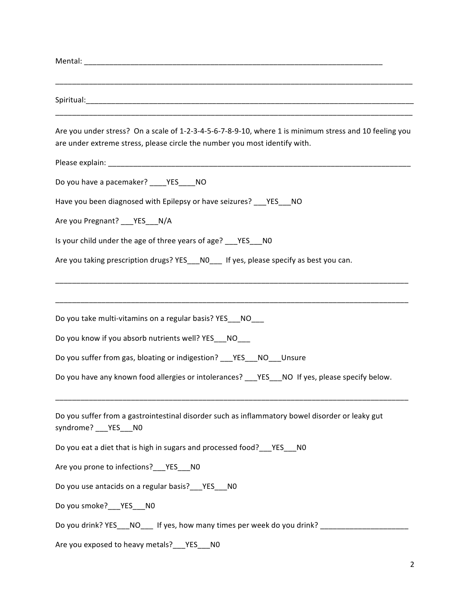| Are you under stress? On a scale of 1-2-3-4-5-6-7-8-9-10, where 1 is minimum stress and 10 feeling you<br>are under extreme stress, please circle the number you most identify with. |
|--------------------------------------------------------------------------------------------------------------------------------------------------------------------------------------|
|                                                                                                                                                                                      |
| Do you have a pacemaker? ____YES____NO                                                                                                                                               |
| Have you been diagnosed with Epilepsy or have seizures? ___ YES ___ NO                                                                                                               |
| Are you Pregnant? ___ YES ___ N/A                                                                                                                                                    |
| Is your child under the age of three years of age? ___ YES __ NO                                                                                                                     |
| Are you taking prescription drugs? YES NO If yes, please specify as best you can.                                                                                                    |
| Do you take multi-vitamins on a regular basis? YES___NO___                                                                                                                           |
| Do you know if you absorb nutrients well? YES___NO___                                                                                                                                |
| Do you suffer from gas, bloating or indigestion? ___ YES___ NO___ Unsure<br>Do you have any known food allergies or intolerances? ___YES___NO If yes, please specify below.          |
| Do you suffer from a gastrointestinal disorder such as inflammatory bowel disorder or leaky gut<br>syndrome? ___ YES___N0                                                            |
| Do you eat a diet that is high in sugars and processed food? ___ YES ___ NO                                                                                                          |
| Are you prone to infections? __ YES __ NO                                                                                                                                            |
| Do you use antacids on a regular basis?___YES___NO                                                                                                                                   |
| Do you smoke?___YES___NO                                                                                                                                                             |
| Do you drink? YES___NO____ If yes, how many times per week do you drink? ____________                                                                                                |
| Are you exposed to heavy metals? __ YES __ NO                                                                                                                                        |